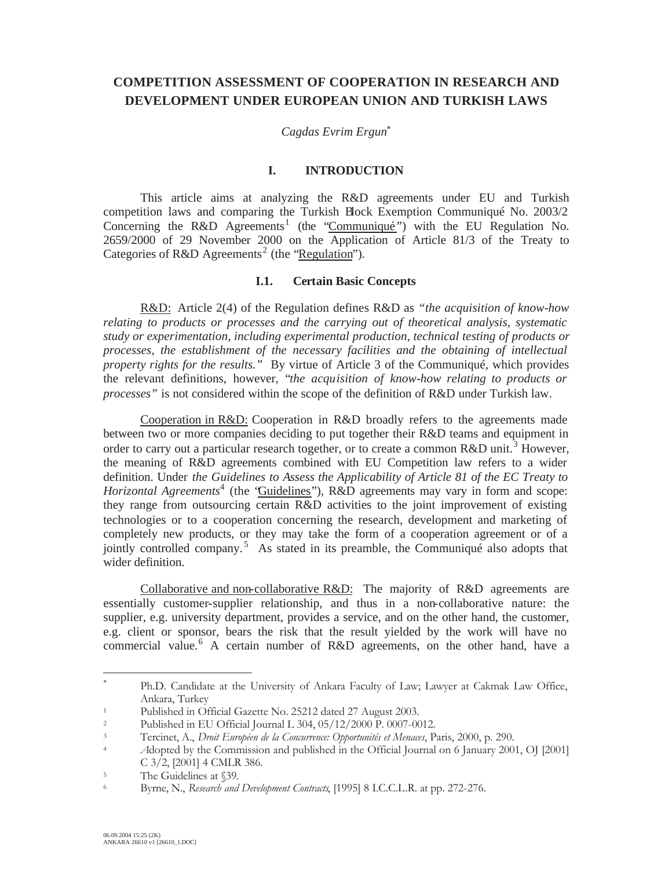# **COMPETITION ASSESSMENT OF COOPERATION IN RESEARCH AND DEVELOPMENT UNDER EUROPEAN UNION AND TURKISH LAWS**

*Cagdas Evrim Ergun*

## **I. INTRODUCTION**

This article aims at analyzing the R&D agreements under EU and Turkish competition laws and comparing the Turkish Block Exemption Communiqué No. 2003/2 Concerning the R&D Agreements<sup>1</sup> (the "Communiqué") with the EU Regulation No. 2659/2000 of 29 November 2000 on the Application of Article 81/3 of the Treaty to Categories of R&D Agreements<sup>2</sup> (the "Regulation").

#### **I.1. Certain Basic Concepts**

R&D: Article 2(4) of the Regulation defines R&D as *"the acquisition of know-how relating to products or processes and the carrying out of theoretical analysis, systematic study or experimentation, including experimental production, technical testing of products or processes, the establishment of the necessary facilities and the obtaining of intellectual property rights for the results."* By virtue of Article 3 of the Communiqué, which provides the relevant definitions, however, "*the acquisition of know-how relating to products or processes"* is not considered within the scope of the definition of R&D under Turkish law.

Cooperation in R&D: Cooperation in R&D broadly refers to the agreements made between two or more companies deciding to put together their R&D teams and equipment in order to carry out a particular research together, or to create a common R&D unit.<sup>3</sup> However, the meaning of R&D agreements combined with EU Competition law refers to a wider definition. Under *the Guidelines to Assess the Applicability of Article 81 of the EC Treaty to*  Horizontal Agreements<sup>4</sup> (the 'Guidelines''), R&D agreements may vary in form and scope: they range from outsourcing certain R&D activities to the joint improvement of existing technologies or to a cooperation concerning the research, development and marketing of completely new products, or they may take the form of a cooperation agreement or of a jointly controlled company.<sup>5</sup> As stated in its preamble, the Communiqué also adopts that wider definition.

Collaborative and non-collaborative R&D: The majority of R&D agreements are essentially customer-supplier relationship, and thus in a non-collaborative nature: the supplier, e.g. university department, provides a service, and on the other hand, the customer, e.g. client or sponsor, bears the risk that the result yielded by the work will have no commercial value.<sup>6</sup> A certain number of R&D agreements, on the other hand, have a

Ph.D. Candidate at the University of Ankara Faculty of Law; Lawyer at Cakmak Law Office, Ankara, Turkey

<sup>1</sup> Published in Official Gazette No. 25212 dated 27 August 2003.

<sup>&</sup>lt;sup>2</sup> Published in EU Official Journal L 304, 05/12/2000 P. 0007-0012.<br><sup>3</sup> Tercinet A. Drait Européen de la Concurrence: Opportunitée et Menaces, Pe

<sup>3</sup> Tercinet, A., *Droit Européen de la Concurrence: Opportunités et Menaces*, Paris, 2000, p. 290.

<sup>4</sup> *A*dopted by the Commission and published in the Official Journal on 6 January 2001, OJ [2001] C  $3/2$ , [2001] 4 CMLR 386.

<sup>&</sup>lt;sup>5</sup> The Guidelines at \\$39.

<sup>6</sup> Byrne, N., *Research and Development Contracts*, [1995] 8 I.C.C.L.R. at pp. 272-276.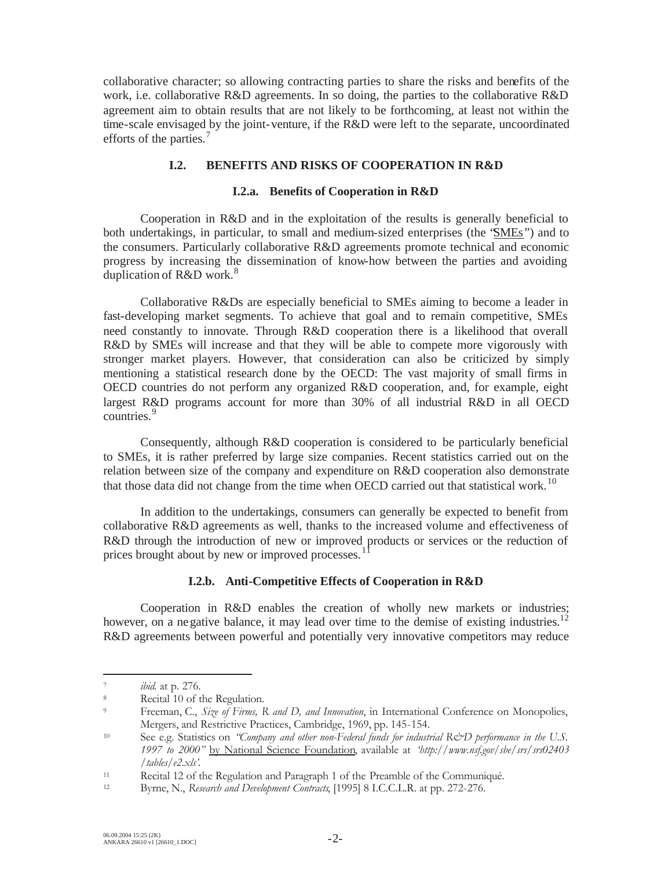collaborative character; so allowing contracting parties to share the risks and benefits of the work, i.e. collaborative R&D agreements. In so doing, the parties to the collaborative R&D agreement aim to obtain results that are not likely to be forthcoming, at least not within the time-scale envisaged by the joint-venture, if the R&D were left to the separate, uncoordinated efforts of the parties.<sup>7</sup>

## **I.2. BENEFITS AND RISKS OF COOPERATION IN R&D**

#### **I.2.a. Benefits of Cooperation in R&D**

Cooperation in R&D and in the exploitation of the results is generally beneficial to both undertakings, in particular, to small and medium-sized enterprises (the "SMEs") and to the consumers. Particularly collaborative R&D agreements promote technical and economic progress by increasing the dissemination of know-how between the parties and avoiding duplication of R&D work.<sup>8</sup>

Collaborative R&Ds are especially beneficial to SMEs aiming to become a leader in fast-developing market segments. To achieve that goal and to remain competitive, SMEs need constantly to innovate. Through R&D cooperation there is a likelihood that overall R&D by SMEs will increase and that they will be able to compete more vigorously with stronger market players. However, that consideration can also be criticized by simply mentioning a statistical research done by the OECD: The vast majority of small firms in OECD countries do not perform any organized R&D cooperation, and, for example, eight largest R&D programs account for more than 30% of all industrial R&D in all OECD countries.<sup>9</sup>

Consequently, although R&D cooperation is considered to be particularly beneficial to SMEs, it is rather preferred by large size companies. Recent statistics carried out on the relation between size of the company and expenditure on R&D cooperation also demonstrate that those data did not change from the time when OECD carried out that statistical work.<sup>10</sup>

In addition to the undertakings, consumers can generally be expected to benefit from collaborative R&D agreements as well, thanks to the increased volume and effectiveness of R&D through the introduction of new or improved products or services or the reduction of prices brought about by new or improved processes.<sup>1</sup>

#### **I.2.b. Anti-Competitive Effects of Cooperation in R&D**

Cooperation in R&D enables the creation of wholly new markets or industries; however, on a negative balance, it may lead over time to the demise of existing industries.<sup>12</sup> R&D agreements between powerful and potentially very innovative competitors may reduce

<sup>7</sup> *ibid.* at p. 276.

<sup>&</sup>lt;sup>8</sup><br>Recital 10 of the Regulation.

<sup>9</sup> Freeman, C., *Size of Firms, R and D, and Innovation*, in International Conference on Monopolies, Mergers, and Restrictive Practices, Cambridge, 1969, pp. 145-154.

<sup>&</sup>lt;sup>10</sup> See e.g. Statistics on *"Company and other non-Federal funds for industrial R&D performance in the U.S. 1997 to 2000"* by National Science Foundation, available at *'http://www.nsf.gov/sbe/srs/srs02403 /tables/e2.xls'.*

<sup>11</sup> Recital 12 of the Regulation and Paragraph 1 of the Preamble of the Communiqué.

<sup>12</sup> Byrne, N., *Research and Development Contracts*, [1995] 8 I.C.C.L.R. at pp. 272-276.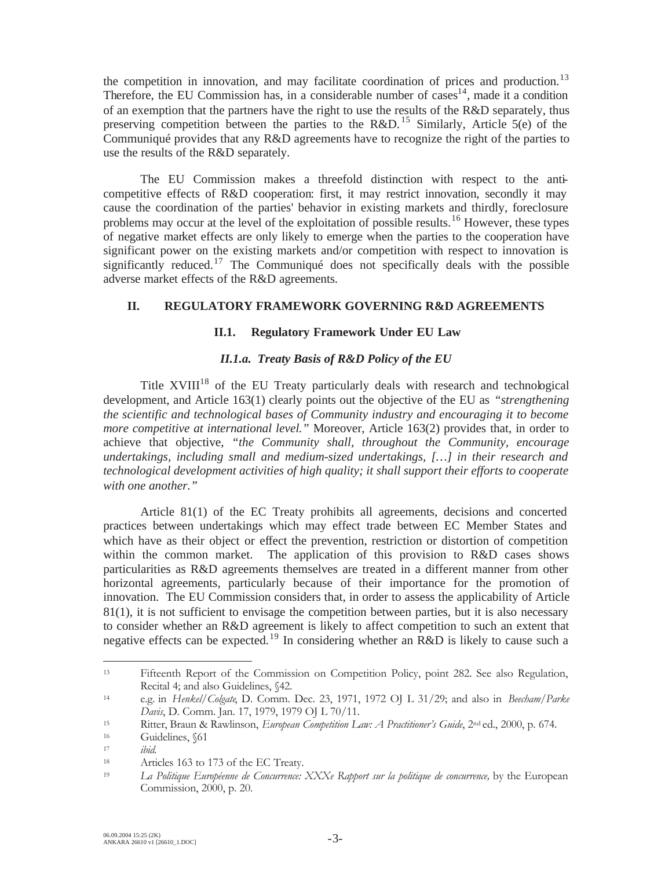the competition in innovation, and may facilitate coordination of prices and production.<sup>13</sup> Therefore, the EU Commission has, in a considerable number of  $\text{cases}^{14}$ , made it a condition of an exemption that the partners have the right to use the results of the R&D separately, thus preserving competition between the parties to the R&D.<sup>15</sup> Similarly, Article 5(e) of the Communiqué provides that any R&D agreements have to recognize the right of the parties to use the results of the R&D separately.

The EU Commission makes a threefold distinction with respect to the anticompetitive effects of R&D cooperation: first, it may restrict innovation, secondly it may cause the coordination of the parties' behavior in existing markets and thirdly, foreclosure problems may occur at the level of the exploitation of possible results.<sup>16</sup> However, these types of negative market effects are only likely to emerge when the parties to the cooperation have significant power on the existing markets and/or competition with respect to innovation is significantly reduced.<sup>17</sup> The Communiqué does not specifically deals with the possible adverse market effects of the R&D agreements.

## **II. REGULATORY FRAMEWORK GOVERNING R&D AGREEMENTS**

## **II.1. Regulatory Framework Under EU Law**

## *II.1.a. Treaty Basis of R&D Policy of the EU*

Title  $XVIII^{18}$  of the EU Treaty particularly deals with research and technological development, and Article 163(1) clearly points out the objective of the EU as *"strengthening the scientific and technological bases of Community industry and encouraging it to become more competitive at international level."* Moreover, Article 163(2) provides that, in order to achieve that objective, *"the Community shall, throughout the Community, encourage undertakings, including small and medium-sized undertakings, […] in their research and technological development activities of high quality; it shall support their efforts to cooperate with one another."* 

Article 81(1) of the EC Treaty prohibits all agreements, decisions and concerted practices between undertakings which may effect trade between EC Member States and which have as their object or effect the prevention, restriction or distortion of competition within the common market. The application of this provision to R&D cases shows particularities as R&D agreements themselves are treated in a different manner from other horizontal agreements, particularly because of their importance for the promotion of innovation. The EU Commission considers that, in order to assess the applicability of Article 81(1), it is not sufficient to envisage the competition between parties, but it is also necessary to consider whether an R&D agreement is likely to affect competition to such an extent that negative effects can be expected.<sup>19</sup> In considering whether an R&D is likely to cause such a

<sup>13</sup> Fifteenth Report of the Commission on Competition Policy, point 282. See also Regulation, Recital 4; and also Guidelines, §42.

<sup>14</sup> e.g. in *Henkel/Colgate*, D. Comm. Dec. 23, 1971, 1972 OJ L 31/29; and also in *Beecham/Parke Davis*, D. Comm. Jan. 17, 1979, 1979 OJ L 70/11.

<sup>15</sup> Ritter, Braun & Rawlinson, *European Competition Law: A Practitioner's Guide*, 2nd ed., 2000, p. 674.

Guidelines, §61

<sup>17</sup> *ibid.*

<sup>18</sup> Articles 163 to 173 of the EC Treaty.

<sup>19</sup> *La Politique Européenne de Concurrence: XXXe Rapport sur la politique de concurrence,* by the European Commission, 2000, p. 20.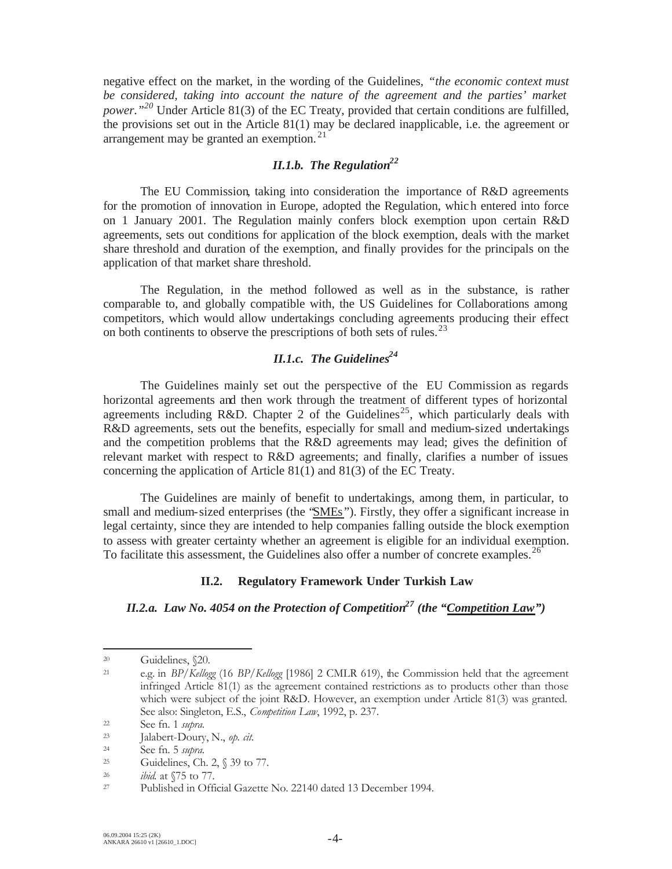negative effect on the market, in the wording of the Guidelines, *"the economic context must be considered, taking into account the nature of the agreement and the parties' market power.*"<sup>20</sup> Under Article 81(3) of the EC Treaty, provided that certain conditions are fulfilled, the provisions set out in the Article 81(1) may be declared inapplicable, i.e. the agreement or arrangement may be granted an exemption.<sup>21</sup>

# *II.1.b.* The Regulation<sup>22</sup>

The EU Commission, taking into consideration the importance of R&D agreements for the promotion of innovation in Europe, adopted the Regulation, which entered into force on 1 January 2001. The Regulation mainly confers block exemption upon certain R&D agreements, sets out conditions for application of the block exemption, deals with the market share threshold and duration of the exemption, and finally provides for the principals on the application of that market share threshold.

The Regulation, in the method followed as well as in the substance, is rather comparable to, and globally compatible with, the US Guidelines for Collaborations among competitors, which would allow undertakings concluding agreements producing their effect on both continents to observe the prescriptions of both sets of rules.<sup>23</sup>

# *II.1.c. The Guidelines*<sup>24</sup>

The Guidelines mainly set out the perspective of the EU Commission as regards horizontal agreements and then work through the treatment of different types of horizontal agreements including R&D. Chapter 2 of the Guidelines<sup>25</sup>, which particularly deals with R&D agreements, sets out the benefits, especially for small and medium-sized undertakings and the competition problems that the R&D agreements may lead; gives the definition of relevant market with respect to R&D agreements; and finally, clarifies a number of issues concerning the application of Article 81(1) and 81(3) of the EC Treaty.

The Guidelines are mainly of benefit to undertakings, among them, in particular, to small and medium-sized enterprises (the 'SMEs'). Firstly, they offer a significant increase in legal certainty, since they are intended to help companies falling outside the block exemption to assess with greater certainty whether an agreement is eligible for an individual exemption. To facilitate this assessment, the Guidelines also offer a number of concrete examples.<sup>26</sup>

#### **II.2. Regulatory Framework Under Turkish Law**

*II.2.a. Law No. 4054 on the Protection of Competition27 (the "Competition Law")*

<sup>20</sup> Guidelines, §20.

<sup>21</sup> e.g. in *BP/Kellogg* (16 *BP/Kellogg* [1986] 2 CMLR 619), the Commission held that the agreement infringed Article 81(1) as the agreement contained restrictions as to products other than those which were subject of the joint R&D. However, an exemption under Article 81(3) was granted. See also: Singleton, E.S., *Competition Law*, 1992, p. 237.

<sup>22</sup> See fn. 1 *supra.*

Jalabert-Doury, N., op. cit.

<sup>24</sup> See fn. 5 *supra.*

Guidelines, Ch. 2,  $\sqrt{3}$  39 to 77.

<sup>26</sup> *ibid.* at §75 to 77.

<sup>27</sup> Published in Official Gazette No. 22140 dated 13 December 1994.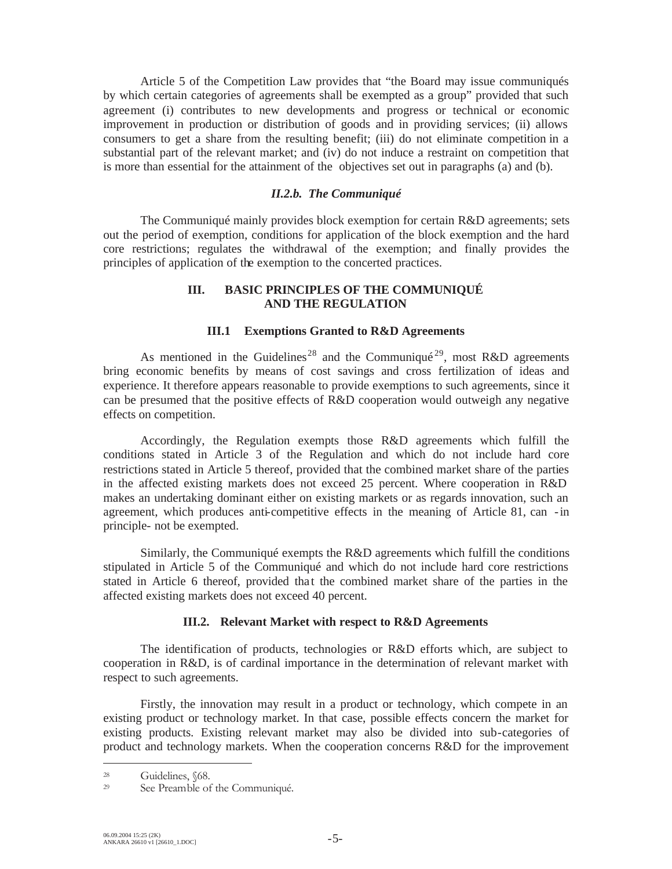Article 5 of the Competition Law provides that "the Board may issue communiqués by which certain categories of agreements shall be exempted as a group" provided that such agreement (i) contributes to new developments and progress or technical or economic improvement in production or distribution of goods and in providing services; (ii) allows consumers to get a share from the resulting benefit; (iii) do not eliminate competition in a substantial part of the relevant market; and (iv) do not induce a restraint on competition that is more than essential for the attainment of the objectives set out in paragraphs (a) and (b).

#### *II.2.b. The Communiqué*

The Communiqué mainly provides block exemption for certain R&D agreements; sets out the period of exemption, conditions for application of the block exemption and the hard core restrictions; regulates the withdrawal of the exemption; and finally provides the principles of application of the exemption to the concerted practices.

### **III. BASIC PRINCIPLES OF THE COMMUNIQUÉ AND THE REGULATION**

#### **III.1 Exemptions Granted to R&D Agreements**

As mentioned in the Guidelines<sup>28</sup> and the Communiqué<sup>29</sup>, most R&D agreements bring economic benefits by means of cost savings and cross fertilization of ideas and experience. It therefore appears reasonable to provide exemptions to such agreements, since it can be presumed that the positive effects of R&D cooperation would outweigh any negative effects on competition.

Accordingly, the Regulation exempts those R&D agreements which fulfill the conditions stated in Article 3 of the Regulation and which do not include hard core restrictions stated in Article 5 thereof, provided that the combined market share of the parties in the affected existing markets does not exceed 25 percent. Where cooperation in R&D makes an undertaking dominant either on existing markets or as regards innovation, such an agreement, which produces anti-competitive effects in the meaning of Article 81, can -in principle- not be exempted.

Similarly, the Communiqué exempts the R&D agreements which fulfill the conditions stipulated in Article 5 of the Communiqué and which do not include hard core restrictions stated in Article 6 thereof, provided that the combined market share of the parties in the affected existing markets does not exceed 40 percent.

#### **III.2. Relevant Market with respect to R&D Agreements**

The identification of products, technologies or R&D efforts which, are subject to cooperation in R&D, is of cardinal importance in the determination of relevant market with respect to such agreements.

Firstly, the innovation may result in a product or technology, which compete in an existing product or technology market. In that case, possible effects concern the market for existing products. Existing relevant market may also be divided into sub-categories of product and technology markets. When the cooperation concerns R&D for the improvement

<sup>&</sup>lt;sup>28</sup> Guidelines,  $$68$ .<br><sup>29</sup> See Preamble of

See Preamble of the Communiqué.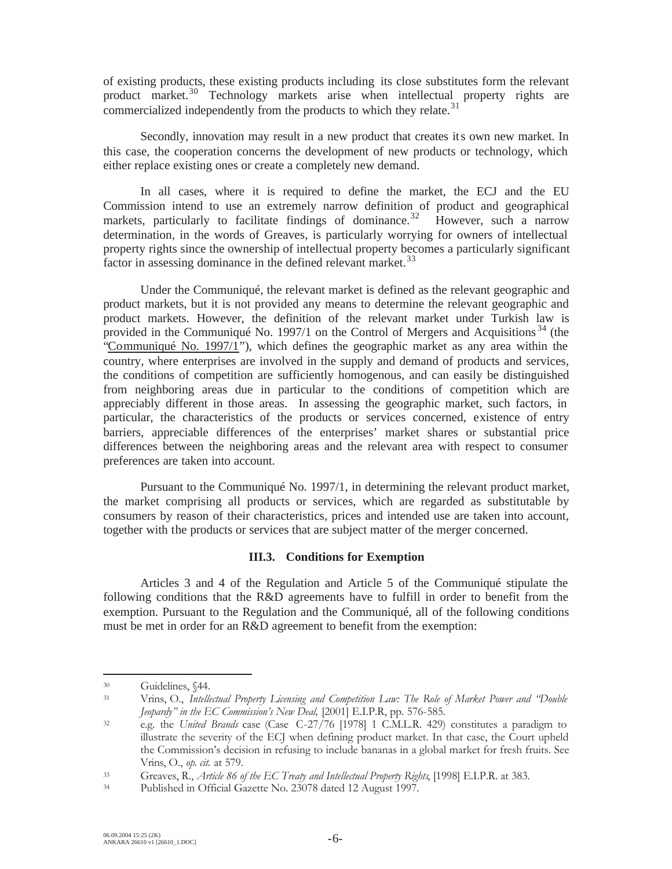of existing products, these existing products including its close substitutes form the relevant product market.<sup>30</sup> Technology markets arise when intellectual property rights are commercialized independently from the products to which they relate. $31$ 

Secondly, innovation may result in a new product that creates its own new market. In this case, the cooperation concerns the development of new products or technology, which either replace existing ones or create a completely new demand.

In all cases, where it is required to define the market, the ECJ and the EU Commission intend to use an extremely narrow definition of product and geographical markets, particularly to facilitate findings of dominance.<sup>32</sup> However, such a narrow determination, in the words of Greaves, is particularly worrying for owners of intellectual property rights since the ownership of intellectual property becomes a particularly significant factor in assessing dominance in the defined relevant market.<sup>33</sup>

Under the Communiqué, the relevant market is defined as the relevant geographic and product markets, but it is not provided any means to determine the relevant geographic and product markets. However, the definition of the relevant market under Turkish law is provided in the Communiqué No. 1997/1 on the Control of Mergers and Acquisitions<sup>34</sup> (the "Communiqué No. 1997/1"), which defines the geographic market as any area within the country, where enterprises are involved in the supply and demand of products and services, the conditions of competition are sufficiently homogenous, and can easily be distinguished from neighboring areas due in particular to the conditions of competition which are appreciably different in those areas. In assessing the geographic market, such factors, in particular, the characteristics of the products or services concerned, existence of entry barriers, appreciable differences of the enterprises' market shares or substantial price differences between the neighboring areas and the relevant area with respect to consumer preferences are taken into account.

Pursuant to the Communiqué No. 1997/1, in determining the relevant product market, the market comprising all products or services, which are regarded as substitutable by consumers by reason of their characteristics, prices and intended use are taken into account, together with the products or services that are subject matter of the merger concerned.

#### **III.3. Conditions for Exemption**

Articles 3 and 4 of the Regulation and Article 5 of the Communiqué stipulate the following conditions that the R&D agreements have to fulfill in order to benefit from the exemption. Pursuant to the Regulation and the Communiqué, all of the following conditions must be met in order for an R&D agreement to benefit from the exemption:

<sup>30</sup> Guidelines, §44.

<sup>31</sup> Vrins, O., *Intellectual Property Licensing and Competition Law: The Role of Market Power and "Double Jeopardy" in the EC Commission's New Deal,* [2001] E.I.P.R, pp. 576-585.

<sup>32</sup> e.g. the *United Brands* case (Case C-27/76 [1978] 1 C.M.L.R. 429) constitutes a paradigm to illustrate the severity of the ECJ when defining product market. In that case, the Court upheld the Commission's decision in refusing to include bananas in a global market for fresh fruits. See Vrins, O., *op. cit.* at 579.

<sup>33</sup> Greaves, R., *Article 86 of the EC Treaty and Intellectual Property Rights*, [1998] E.I.P.R. at 383.

<sup>34</sup> Published in Official Gazette No. 23078 dated 12 August 1997.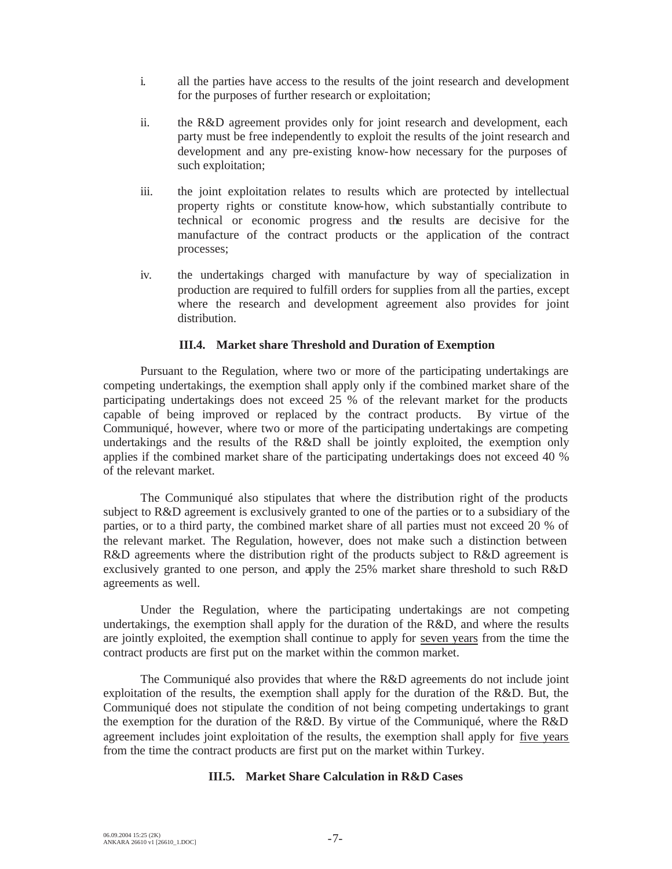- i. all the parties have access to the results of the joint research and development for the purposes of further research or exploitation;
- ii. the R&D agreement provides only for joint research and development, each party must be free independently to exploit the results of the joint research and development and any pre-existing know-how necessary for the purposes of such exploitation;
- iii. the joint exploitation relates to results which are protected by intellectual property rights or constitute know-how, which substantially contribute to technical or economic progress and the results are decisive for the manufacture of the contract products or the application of the contract processes;
- iv. the undertakings charged with manufacture by way of specialization in production are required to fulfill orders for supplies from all the parties, except where the research and development agreement also provides for joint distribution.

#### **III.4. Market share Threshold and Duration of Exemption**

Pursuant to the Regulation, where two or more of the participating undertakings are competing undertakings, the exemption shall apply only if the combined market share of the participating undertakings does not exceed 25 % of the relevant market for the products capable of being improved or replaced by the contract products. By virtue of the Communiqué, however, where two or more of the participating undertakings are competing undertakings and the results of the R&D shall be jointly exploited, the exemption only applies if the combined market share of the participating undertakings does not exceed 40 % of the relevant market.

The Communiqué also stipulates that where the distribution right of the products subject to R&D agreement is exclusively granted to one of the parties or to a subsidiary of the parties, or to a third party, the combined market share of all parties must not exceed 20 % of the relevant market. The Regulation, however, does not make such a distinction between R&D agreements where the distribution right of the products subject to R&D agreement is exclusively granted to one person, and apply the 25% market share threshold to such R&D agreements as well.

Under the Regulation, where the participating undertakings are not competing undertakings, the exemption shall apply for the duration of the R&D, and where the results are jointly exploited, the exemption shall continue to apply for seven years from the time the contract products are first put on the market within the common market.

The Communiqué also provides that where the R&D agreements do not include joint exploitation of the results, the exemption shall apply for the duration of the R&D. But, the Communiqué does not stipulate the condition of not being competing undertakings to grant the exemption for the duration of the R&D. By virtue of the Communiqué, where the R&D agreement includes joint exploitation of the results, the exemption shall apply for five years from the time the contract products are first put on the market within Turkey.

#### **III.5. Market Share Calculation in R&D Cases**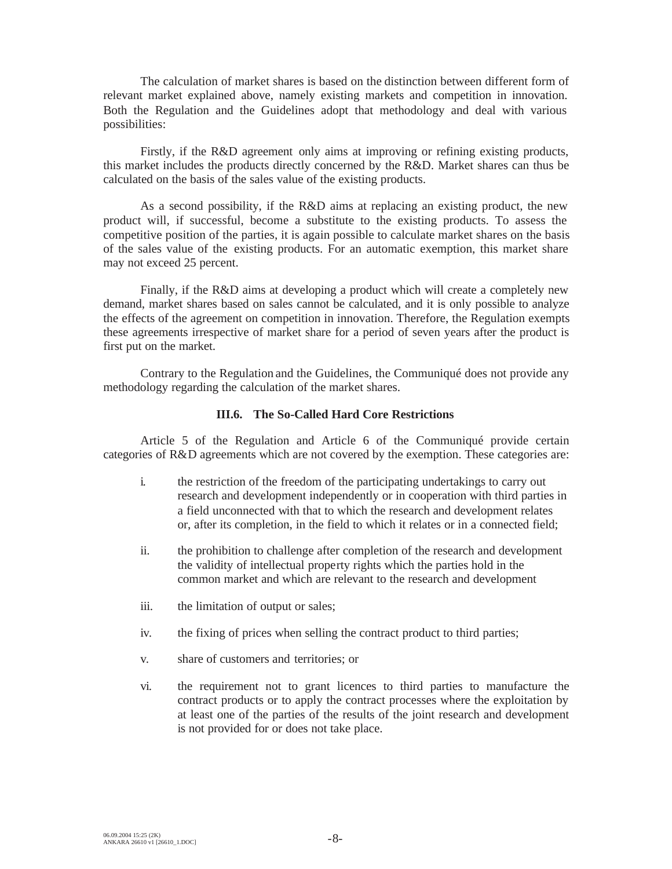The calculation of market shares is based on the distinction between different form of relevant market explained above, namely existing markets and competition in innovation. Both the Regulation and the Guidelines adopt that methodology and deal with various possibilities:

Firstly, if the R&D agreement only aims at improving or refining existing products, this market includes the products directly concerned by the R&D. Market shares can thus be calculated on the basis of the sales value of the existing products.

As a second possibility, if the R&D aims at replacing an existing product, the new product will, if successful, become a substitute to the existing products. To assess the competitive position of the parties, it is again possible to calculate market shares on the basis of the sales value of the existing products. For an automatic exemption, this market share may not exceed 25 percent.

Finally, if the R&D aims at developing a product which will create a completely new demand, market shares based on sales cannot be calculated, and it is only possible to analyze the effects of the agreement on competition in innovation. Therefore, the Regulation exempts these agreements irrespective of market share for a period of seven years after the product is first put on the market.

Contrary to the Regulation and the Guidelines, the Communiqué does not provide any methodology regarding the calculation of the market shares.

#### **III.6. The So-Called Hard Core Restrictions**

Article 5 of the Regulation and Article 6 of the Communiqué provide certain categories of R&D agreements which are not covered by the exemption. These categories are:

- i. the restriction of the freedom of the participating undertakings to carry out research and development independently or in cooperation with third parties in a field unconnected with that to which the research and development relates or, after its completion, in the field to which it relates or in a connected field;
- ii. the prohibition to challenge after completion of the research and development the validity of intellectual property rights which the parties hold in the common market and which are relevant to the research and development
- iii. the limitation of output or sales;
- iv. the fixing of prices when selling the contract product to third parties;
- v. share of customers and territories; or
- vi. the requirement not to grant licences to third parties to manufacture the contract products or to apply the contract processes where the exploitation by at least one of the parties of the results of the joint research and development is not provided for or does not take place.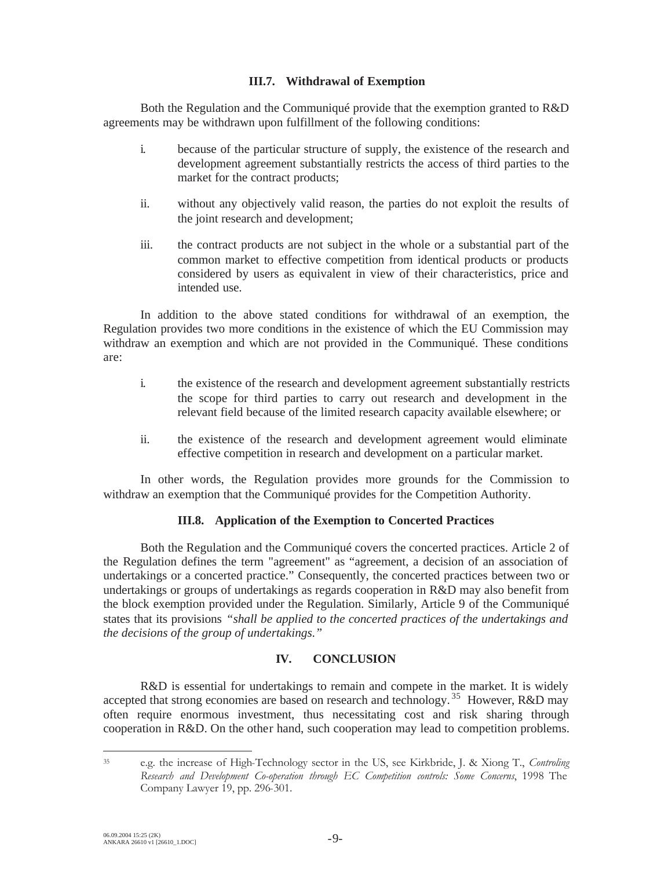## **III.7. Withdrawal of Exemption**

Both the Regulation and the Communiqué provide that the exemption granted to R&D agreements may be withdrawn upon fulfillment of the following conditions:

- i. because of the particular structure of supply, the existence of the research and development agreement substantially restricts the access of third parties to the market for the contract products;
- ii. without any objectively valid reason, the parties do not exploit the results of the joint research and development;
- iii. the contract products are not subject in the whole or a substantial part of the common market to effective competition from identical products or products considered by users as equivalent in view of their characteristics, price and intended use.

In addition to the above stated conditions for withdrawal of an exemption, the Regulation provides two more conditions in the existence of which the EU Commission may withdraw an exemption and which are not provided in the Communiqué. These conditions are:

- i. the existence of the research and development agreement substantially restricts the scope for third parties to carry out research and development in the relevant field because of the limited research capacity available elsewhere; or
- ii. the existence of the research and development agreement would eliminate effective competition in research and development on a particular market.

In other words, the Regulation provides more grounds for the Commission to withdraw an exemption that the Communiqué provides for the Competition Authority.

## **III.8. Application of the Exemption to Concerted Practices**

Both the Regulation and the Communiqué covers the concerted practices. Article 2 of the Regulation defines the term "agreement" as "agreement, a decision of an association of undertakings or a concerted practice." Consequently, the concerted practices between two or undertakings or groups of undertakings as regards cooperation in R&D may also benefit from the block exemption provided under the Regulation. Similarly, Article 9 of the Communiqué states that its provisions *"shall be applied to the concerted practices of the undertakings and the decisions of the group of undertakings."*

## **IV. CONCLUSION**

R&D is essential for undertakings to remain and compete in the market. It is widely accepted that strong economies are based on research and technology.<sup>35</sup> However, R&D may often require enormous investment, thus necessitating cost and risk sharing through cooperation in R&D. On the other hand, such cooperation may lead to competition problems.

<sup>35</sup> e.g. the increase of High-Technology sector in the US, see Kirkbride, J. & Xiong T., *Controling Research and Development Co-operation through EC Competition controls: Some Concerns*, 1998 The Company Lawyer 19, pp. 296-301.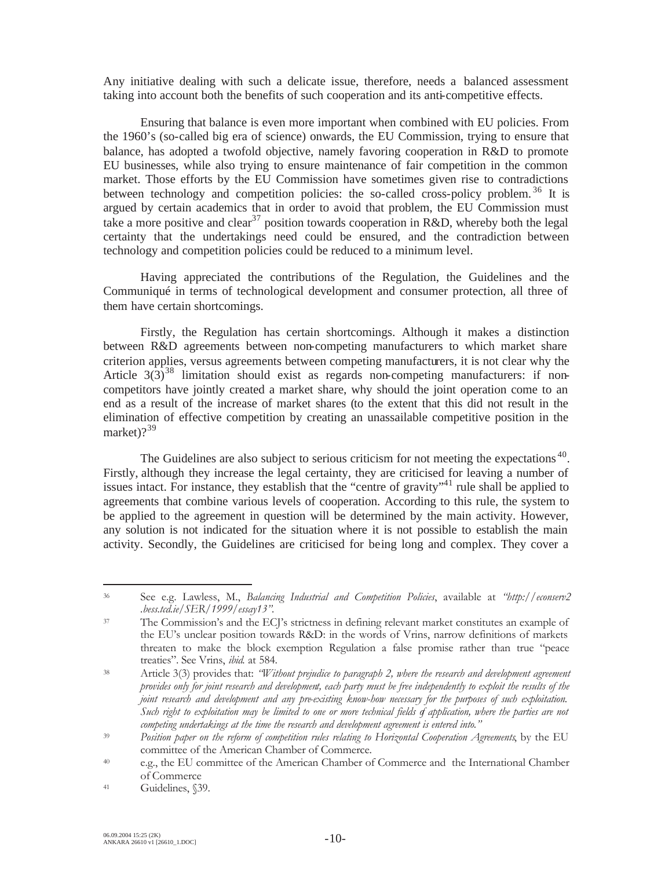Any initiative dealing with such a delicate issue, therefore, needs a balanced assessment taking into account both the benefits of such cooperation and its anti-competitive effects.

Ensuring that balance is even more important when combined with EU policies. From the 1960's (so-called big era of science) onwards, the EU Commission, trying to ensure that balance, has adopted a twofold objective, namely favoring cooperation in R&D to promote EU businesses, while also trying to ensure maintenance of fair competition in the common market. Those efforts by the EU Commission have sometimes given rise to contradictions between technology and competition policies: the so-called cross-policy problem.<sup>36</sup> It is argued by certain academics that in order to avoid that problem, the EU Commission must take a more positive and clear<sup>37</sup> position towards cooperation in R&D, whereby both the legal certainty that the undertakings need could be ensured, and the contradiction between technology and competition policies could be reduced to a minimum level.

Having appreciated the contributions of the Regulation, the Guidelines and the Communiqué in terms of technological development and consumer protection, all three of them have certain shortcomings.

Firstly, the Regulation has certain shortcomings. Although it makes a distinction between R&D agreements between non-competing manufacturers to which market share criterion applies, versus agreements between competing manufacturers, it is not clear why the Article  $3(3)^{38}$  limitation should exist as regards non-competing manufacturers: if noncompetitors have jointly created a market share, why should the joint operation come to an end as a result of the increase of market shares (to the extent that this did not result in the elimination of effective competition by creating an unassailable competitive position in the market $)$ ?<sup>39</sup>

The Guidelines are also subject to serious criticism for not meeting the expectations<sup>40</sup>. Firstly, although they increase the legal certainty, they are criticised for leaving a number of issues intact. For instance, they establish that the "centre of gravity"<sup>41</sup> rule shall be applied to agreements that combine various levels of cooperation. According to this rule, the system to be applied to the agreement in question will be determined by the main activity. However, any solution is not indicated for the situation where it is not possible to establish the main activity. Secondly, the Guidelines are criticised for being long and complex. They cover a

<sup>36</sup> See e.g. Lawless, M., *Balancing Industrial and Competition Policies*, available at *"http://econserv2 .bess.tcd.ie/SER/1999/essay13".*

<sup>37</sup> The Commission's and the ECJ's strictness in defining relevant market constitutes an example of the EU's unclear position towards R&D: in the words of Vrins, narrow definitions of markets threaten to make the block exemption Regulation a false promise rather than true "peace treaties". See Vrins, *ibid.* at 584.

<sup>38</sup> Article 3(3) provides that: *"Without prejudice to paragraph 2, where the research and development agreement provides only for joint research and development, each party must be free independently to exploit the results of the joint research and development and any pre-existing know-how necessary for the purposes of such exploitation.* Such right to exploitation may be limited to one or more technical fields of application, where the parties are not *competing undertakings at the time the research and development agreement is entered into."*

<sup>39</sup> *Position paper on the reform of competition rules relating to Horizontal Cooperation Agreements*, by the EU committee of the American Chamber of Commerce.

<sup>40</sup> e.g., the EU committee of the American Chamber of Commerce and the International Chamber of Commerce

<sup>41</sup> Guidelines, §39.